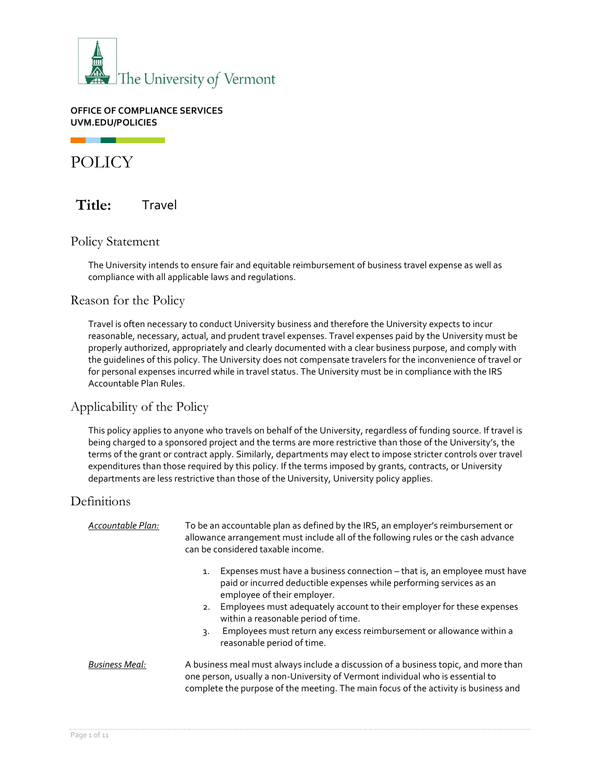

**OFFICE OF COMPLIANCE SERVICES UVM.EDU/POLICIES**

POLICY

**Title:** Travel

## Policy Statement

The University intends to ensure fair and equitable reimbursement of business travel expense as well as compliance with all applicable laws and regulations.

# Reason for the Policy

Travel is often necessary to conduct University business and therefore the University expects to incur reasonable, necessary, actual, and prudent travel expenses. Travel expenses paid by the University must be properly authorized, appropriately and clearly documented with a clear business purpose, and comply with the guidelines of this policy. The University does not compensate travelers for the inconvenience of travel or for personal expenses incurred while in travel status. The University must be in compliance with the IRS Accountable Plan Rules.

# Applicability of the Policy

This policy applies to anyone who travels on behalf of the University, regardless of funding source. If travel is being charged to a sponsored project and the terms are more restrictive than those of the University's, the terms of the grant or contract apply. Similarly, departments may elect to impose stricter controls over travel expenditures than those required by this policy. If the terms imposed by grants, contracts, or University departments are less restrictive than those of the University, University policy applies.

## Definitions

| Accountable Plan:     | To be an accountable plan as defined by the IRS, an employer's reimbursement or<br>allowance arrangement must include all of the following rules or the cash advance<br>can be considered taxable income.                                                                                                                                                                                                                 |  |
|-----------------------|---------------------------------------------------------------------------------------------------------------------------------------------------------------------------------------------------------------------------------------------------------------------------------------------------------------------------------------------------------------------------------------------------------------------------|--|
|                       | Expenses must have a business connection - that is, an employee must have<br>1.<br>paid or incurred deductible expenses while performing services as an<br>employee of their employer.<br>Employees must adequately account to their employer for these expenses<br>2.<br>within a reasonable period of time.<br>Employees must return any excess reimbursement or allowance within a<br>3.<br>reasonable period of time. |  |
| <b>Business Meal:</b> | A business meal must always include a discussion of a business topic, and more than<br>one person, usually a non-University of Vermont individual who is essential to<br>complete the purpose of the meeting. The main focus of the activity is business and                                                                                                                                                              |  |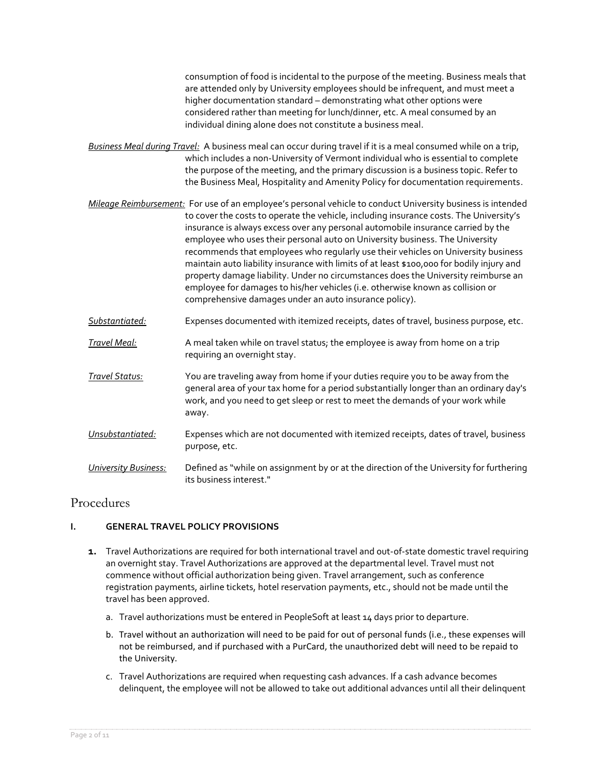consumption of food is incidental to the purpose of the meeting. Business meals that are attended only by University employees should be infrequent, and must meet a higher documentation standard – demonstrating what other options were considered rather than meeting for lunch/dinner, etc. A meal consumed by an individual dining alone does not constitute a business meal.

- *Business Meal during Travel:* A business meal can occur during travel if it is a meal consumed while on a trip, which includes a non-University of Vermont individual who is essential to complete the purpose of the meeting, and the primary discussion is a business topic. Refer to the Business Meal, Hospitality and Amenity Policy for documentation requirements.
- *Mileage Reimbursement:* For use of an employee's personal vehicle to conduct University business is intended to cover the costs to operate the vehicle, including insurance costs. The University's insurance is always excess over any personal automobile insurance carried by the employee who uses their personal auto on University business. The University recommends that employees who regularly use their vehicles on University business maintain auto liability insurance with limits of at least \$100,000 for bodily injury and property damage liability. Under no circumstances does the University reimburse an employee for damages to his/her vehicles (i.e. otherwise known as collision or comprehensive damages under an auto insurance policy).
- *Substantiated:* Expenses documented with itemized receipts, dates of travel, business purpose, etc.
- *Travel Meal:* A meal taken while on travel status; the employee is away from home on a trip requiring an overnight stay.
- *Travel Status:* You are traveling away from home if your duties require you to be away from the general area of your tax home for a period substantially longer than an ordinary day's work, and you need to get sleep or rest to meet the demands of your work while away.
- *Unsubstantiated:* Expenses which are not documented with itemized receipts, dates of travel, business purpose, etc.
- *University Business:* Defined as "while on assignment by or at the direction of the University for furthering its business interest."

# Procedures

## **I. GENERAL TRAVEL POLICY PROVISIONS**

- **1.** Travel Authorizations are required for both international travel and out-of-state domestic travel requiring an overnight stay. Travel Authorizations are approved at the departmental level. Travel must not commence without official authorization being given. Travel arrangement, such as conference registration payments, airline tickets, hotel reservation payments, etc., should not be made until the travel has been approved.
	- a. Travel authorizations must be entered in PeopleSoft at least 14 days prior to departure.
	- b. Travel without an authorization will need to be paid for out of personal funds (i.e., these expenses will not be reimbursed, and if purchased with a PurCard, the unauthorized debt will need to be repaid to the University.
	- c. Travel Authorizations are required when requesting cash advances. If a cash advance becomes delinquent, the employee will not be allowed to take out additional advances until all their delinquent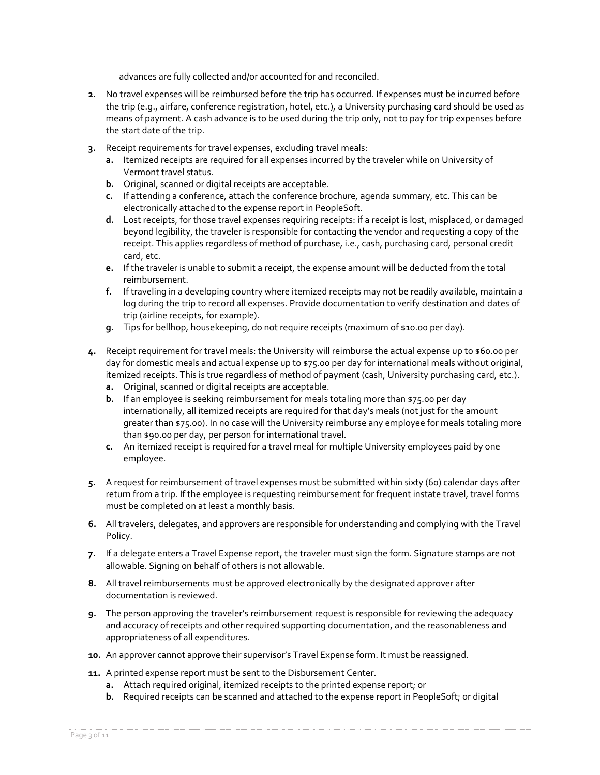advances are fully collected and/or accounted for and reconciled.

- **2.** No travel expenses will be reimbursed before the trip has occurred. If expenses must be incurred before the trip (e.g., airfare, conference registration, hotel, etc.), a University purchasing card should be used as means of payment. A cash advance is to be used during the trip only, not to pay for trip expenses before the start date of the trip.
- **3.** Receipt requirements for travel expenses, excluding travel meals:
	- **a.** Itemized receipts are required for all expenses incurred by the traveler while on University of Vermont travel status.
	- **b.** Original, scanned or digital receipts are acceptable.
	- **c.** If attending a conference, attach the conference brochure, agenda summary, etc. This can be electronically attached to the expense report in PeopleSoft.
	- **d.** Lost receipts, for those travel expenses requiring receipts: if a receipt is lost, misplaced, or damaged beyond legibility, the traveler is responsible for contacting the vendor and requesting a copy of the receipt. This applies regardless of method of purchase, i.e., cash, purchasing card, personal credit card, etc.
	- **e.** If the traveler is unable to submit a receipt, the expense amount will be deducted from the total reimbursement.
	- **f.** If traveling in a developing country where itemized receipts may not be readily available, maintain a log during the trip to record all expenses. Provide documentation to verify destination and dates of trip (airline receipts, for example).
	- **g.** Tips for bellhop, housekeeping, do not require receipts (maximum of \$10.00 per day).
- **4.** Receipt requirement for travel meals: the University will reimburse the actual expense up to \$60.00 per day for domestic meals and actual expense up to \$75.00 per day for international meals without original, itemized receipts. This is true regardless of method of payment (cash, University purchasing card, etc.).
	- **a.** Original, scanned or digital receipts are acceptable.
	- **b.** If an employee is seeking reimbursement for meals totaling more than \$75.00 per day internationally, all itemized receipts are required for that day's meals (not just for the amount greater than \$75.00). In no case will the University reimburse any employee for meals totaling more than \$90.00 per day, per person for international travel.
	- **c.** An itemized receipt is required for a travel meal for multiple University employees paid by one employee.
- **5.** A request for reimbursement of travel expenses must be submitted within sixty (60) calendar days after return from a trip. If the employee is requesting reimbursement for frequent instate travel, travel forms must be completed on at least a monthly basis.
- **6.** All travelers, delegates, and approvers are responsible for understanding and complying with the Travel Policy.
- **7.** If a delegate enters a Travel Expense report, the traveler must sign the form. Signature stamps are not allowable. Signing on behalf of others is not allowable.
- **8.** All travel reimbursements must be approved electronically by the designated approver after documentation is reviewed.
- **9.** The person approving the traveler's reimbursement request is responsible for reviewing the adequacy and accuracy of receipts and other required supporting documentation, and the reasonableness and appropriateness of all expenditures.
- **10.** An approver cannot approve their supervisor's Travel Expense form. It must be reassigned.
- **11.** A printed expense report must be sent to the Disbursement Center.
	- **a.** Attach required original, itemized receipts to the printed expense report; or
	- **b.** Required receipts can be scanned and attached to the expense report in PeopleSoft; or digital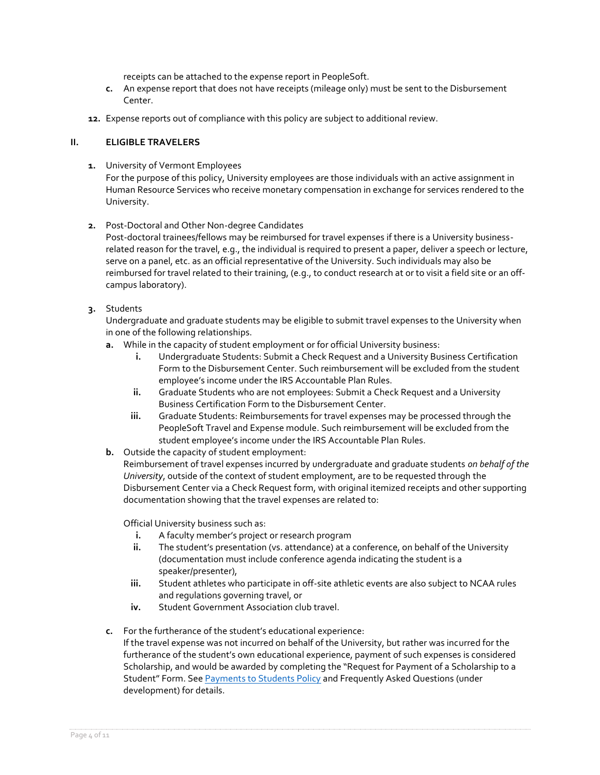receipts can be attached to the expense report in PeopleSoft.

- **c.** An expense report that does not have receipts (mileage only) must be sent to the Disbursement Center.
- **12.** Expense reports out of compliance with this policy are subject to additional review.

#### **II. ELIGIBLE TRAVELERS**

**1.** University of Vermont Employees

For the purpose of this policy, University employees are those individuals with an active assignment in Human Resource Services who receive monetary compensation in exchange for services rendered to the University.

**2.** Post-Doctoral and Other Non-degree Candidates

Post-doctoral trainees/fellows may be reimbursed for travel expenses if there is a University businessrelated reason for the travel, e.g., the individual is required to present a paper, deliver a speech or lecture, serve on a panel, etc. as an official representative of the University. Such individuals may also be reimbursed for travel related to their training, (e.g., to conduct research at or to visit a field site or an offcampus laboratory).

**3.** Students

Undergraduate and graduate students may be eligible to submit travel expenses to the University when in one of the following relationships.

- **a.** While in the capacity of student employment or for official University business:
	- **i.** Undergraduate Students: Submit a Check Request and a University Business Certification Form to the Disbursement Center. Such reimbursement will be excluded from the student employee's income under the IRS Accountable Plan Rules.
	- **ii.** Graduate Students who are not employees: Submit a Check Request and a University Business Certification Form to the Disbursement Center.
	- **iii.** Graduate Students: Reimbursements for travel expenses may be processed through the PeopleSoft Travel and Expense module. Such reimbursement will be excluded from the student employee's income under the IRS Accountable Plan Rules.
- **b.** Outside the capacity of student employment:

Reimbursement of travel expenses incurred by undergraduate and graduate students *on behalf of the University*, outside of the context of student employment, are to be requested through the Disbursement Center via a Check Request form, with original itemized receipts and other supporting documentation showing that the travel expenses are related to:

Official University business such as:

- **i.** A faculty member's project or research program
- **ii.** The student's presentation (vs. attendance) at a conference, on behalf of the University (documentation must include conference agenda indicating the student is a speaker/presenter),
- **iii.** Student athletes who participate in off-site athletic events are also subject to NCAA rules and regulations governing travel, or
- **iv.** Student Government Association club travel.
- **c.** For the furtherance of the student's educational experience:

If the travel expense was not incurred on behalf of the University, but rather was incurred for the furtherance of the student's own educational experience, payment of such expenses is considered Scholarship, and would be awarded by completing the "Request for Payment of a Scholarship to a Student" Form. See [Payments to Students Policy](https://www.uvm.edu/sites/default/files/UVM-Policies/policies/payments2stu.pdf) and Frequently Asked Questions (under development) for details.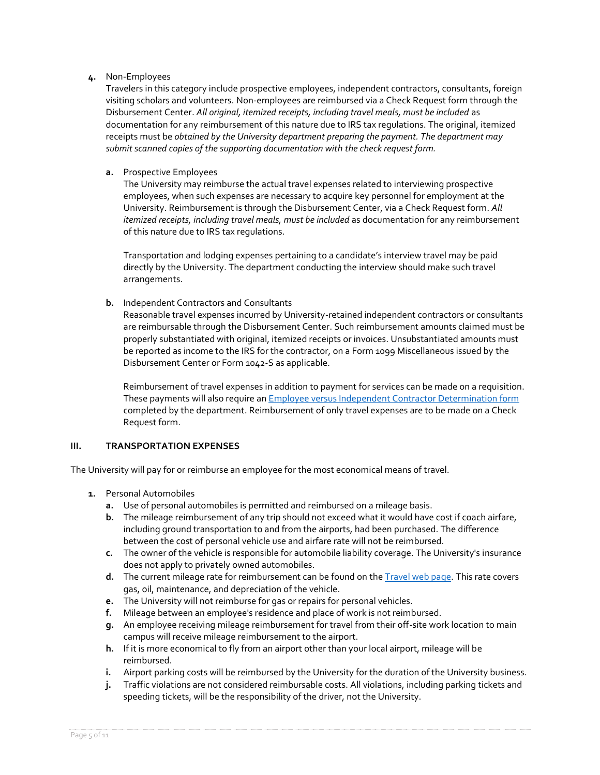#### **4.** Non-Employees

Travelers in this category include prospective employees, independent contractors, consultants, foreign visiting scholars and volunteers. Non-employees are reimbursed via a Check Request form through the Disbursement Center. *All original, itemized receipts, including travel meals, must be included* as documentation for any reimbursement of this nature due to IRS tax regulations. The original, itemized receipts must be *obtained by the University department preparing the payment. The department may submit scanned copies of the supporting documentation with the check request form.*

#### **a.** Prospective Employees

The University may reimburse the actual travel expenses related to interviewing prospective employees, when such expenses are necessary to acquire key personnel for employment at the University. Reimbursement is through the Disbursement Center, via a Check Request form. *All itemized receipts, including travel meals, must be included* as documentation for any reimbursement of this nature due to IRS tax regulations.

Transportation and lodging expenses pertaining to a candidate's interview travel may be paid directly by the University. The department conducting the interview should make such travel arrangements.

#### **b.** Independent Contractors and Consultants

Reasonable travel expenses incurred by University-retained independent contractors or consultants are reimbursable through the Disbursement Center. Such reimbursement amounts claimed must be properly substantiated with original, itemized receipts or invoices. Unsubstantiated amounts must be reported as income to the IRS for the contractor, on a Form 1099 Miscellaneous issued by the Disbursement Center or Form 1042-S as applicable.

Reimbursement of travel expenses in addition to payment for services can be made on a requisition. These payments will also require an **Employee versus Independent Contractor Determination form** completed by the department. Reimbursement of only travel expenses are to be made on a Check Request form.

#### **III. TRANSPORTATION EXPENSES**

The University will pay for or reimburse an employee for the most economical means of travel.

- **1.** Personal Automobiles
	- **a.** Use of personal automobiles is permitted and reimbursed on a mileage basis.
	- **b.** The mileage reimbursement of any trip should not exceed what it would have cost if coach airfare, including ground transportation to and from the airports, had been purchased. The difference between the cost of personal vehicle use and airfare rate will not be reimbursed.
	- **c.** The owner of the vehicle is responsible for automobile liability coverage. The University's insurance does not apply to privately owned automobiles.
	- **d.** The current mileage rate for reimbursement can be found on the [Travel web page.](https://www.uvm.edu/finance/travel) This rate covers gas, oil, maintenance, and depreciation of the vehicle.
	- **e.** The University will not reimburse for gas or repairs for personal vehicles.
	- **f.** Mileage between an employee's residence and place of work is not reimbursed.
	- **g.** An employee receiving mileage reimbursement for travel from their off-site work location to main campus will receive mileage reimbursement to the airport.
	- **h.** If it is more economical to fly from an airport other than your local airport, mileage will be reimbursed.
	- **i.** Airport parking costs will be reimbursed by the University for the duration of the University business.
	- **j.** Traffic violations are not considered reimbursable costs. All violations, including parking tickets and speeding tickets, will be the responsibility of the driver, not the University.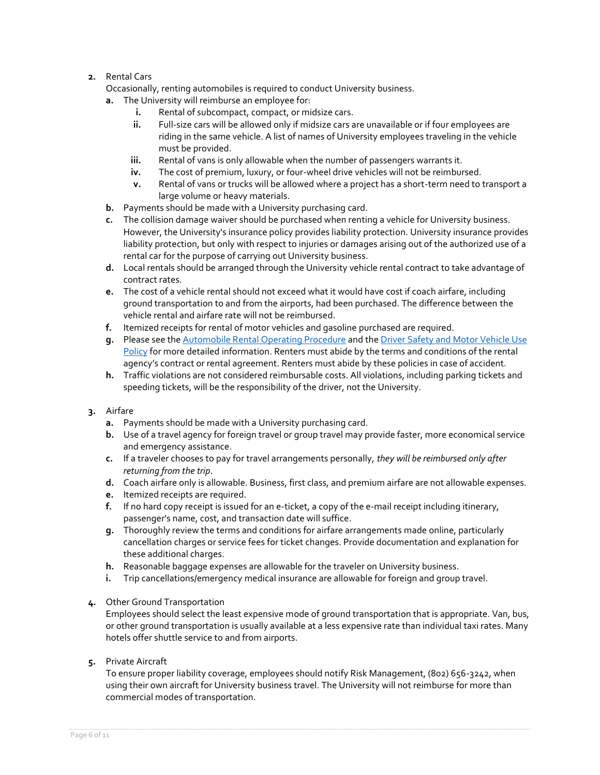## **2.** Rental Cars

Occasionally, renting automobiles is required to conduct University business.

- **a.** The University will reimburse an employee for:
	- **i.** Rental of subcompact, compact, or midsize cars.
	- **ii.** Full-size cars will be allowed only if midsize cars are unavailable or if four employees are riding in the same vehicle. A list of names of University employees traveling in the vehicle must be provided.
	- **iii.** Rental of vans is only allowable when the number of passengers warrants it.
	- **iv.** The cost of premium, luxury, or four-wheel drive vehicles will not be reimbursed.
	- **v.** Rental of vans or trucks will be allowed where a project has a short-term need to transport a large volume or heavy materials.
- **b.** Payments should be made with a University purchasing card.
- **c.** The collision damage waiver should be purchased when renting a vehicle for University business. However, the University's insurance policy provides liability protection. University insurance provides liability protection, but only with respect to injuries or damages arising out of the authorized use of a rental car for the purpose of carrying out University business.
- **d.** Local rentals should be arranged through the University vehicle rental contract to take advantage of contract rates.
- **e.** The cost of a vehicle rental should not exceed what it would have cost if coach airfare, including ground transportation to and from the airports, had been purchased. The difference between the vehicle rental and airfare rate will not be reimbursed.
- **f.** Itemized receipts for rental of motor vehicles and gasoline purchased are required.
- **g.** Please see th[e Automobile Rental Operating Procedure](https://www.uvm.edu/sites/default/files/UVM-Policies/policies/autorent.pdf) and th[e Driver Safety and Motor Vehicle Use](https://www.uvm.edu/sites/default/files/UVM-Policies/policies/driversafety.pdf)  [Policy](https://www.uvm.edu/sites/default/files/UVM-Policies/policies/driversafety.pdf) for more detailed information. Renters must abide by the terms and conditions of the rental agency's contract or rental agreement. Renters must abide by these policies in case of accident.
- **h.** Traffic violations are not considered reimbursable costs. All violations, including parking tickets and speeding tickets, will be the responsibility of the driver, not the University.

## **3.** Airfare

- **a.** Payments should be made with a University purchasing card.
- **b.** Use of a travel agency for foreign travel or group travel may provide faster, more economical service and emergency assistance.
- **c.** If a traveler chooses to pay for travel arrangements personally, *they will be reimbursed only after returning from the trip*.
- **d.** Coach airfare only is allowable. Business, first class, and premium airfare are not allowable expenses.
- **e.** Itemized receipts are required.
- **f.** If no hard copy receipt is issued for an e-ticket, a copy of the e-mail receipt including itinerary, passenger's name, cost, and transaction date will suffice.
- **g.** Thoroughly review the terms and conditions for airfare arrangements made online, particularly cancellation charges or service fees for ticket changes. Provide documentation and explanation for these additional charges.
- **h.** Reasonable baggage expenses are allowable for the traveler on University business.
- **i.** Trip cancellations/emergency medical insurance are allowable for foreign and group travel.

## **4.** Other Ground Transportation

Employees should select the least expensive mode of ground transportation that is appropriate. Van, bus, or other ground transportation is usually available at a less expensive rate than individual taxi rates. Many hotels offer shuttle service to and from airports.

**5.** Private Aircraft

To ensure proper liability coverage, employees should notify Risk Management, (802) 656-3242, when using their own aircraft for University business travel. The University will not reimburse for more than commercial modes of transportation.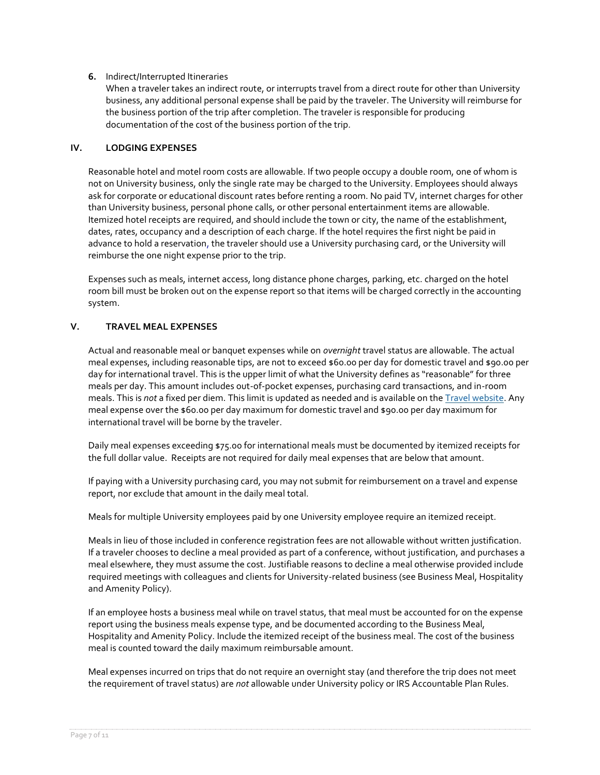#### **6.** Indirect/Interrupted Itineraries

When a traveler takes an indirect route, or interrupts travel from a direct route for other than University business, any additional personal expense shall be paid by the traveler. The University will reimburse for the business portion of the trip after completion. The traveler is responsible for producing documentation of the cost of the business portion of the trip.

#### **IV. LODGING EXPENSES**

Reasonable hotel and motel room costs are allowable. If two people occupy a double room, one of whom is not on University business, only the single rate may be charged to the University. Employees should always ask for corporate or educational discount rates before renting a room. No paid TV, internet charges for other than University business, personal phone calls, or other personal entertainment items are allowable. Itemized hotel receipts are required, and should include the town or city, the name of the establishment, dates, rates, occupancy and a description of each charge. If the hotel requires the first night be paid in advance to hold a reservation, the traveler should use a University purchasing card, or the University will reimburse the one night expense prior to the trip.

Expenses such as meals, internet access, long distance phone charges, parking, etc. charged on the hotel room bill must be broken out on the expense report so that items will be charged correctly in the accounting system.

#### **V. TRAVEL MEAL EXPENSES**

Actual and reasonable meal or banquet expenses while on *overnight* travel status are allowable. The actual meal expenses, including reasonable tips, are not to exceed \$60.00 per day for domestic travel and \$90.00 per day for international travel. This is the upper limit of what the University defines as "reasonable" for three meals per day. This amount includes out-of-pocket expenses, purchasing card transactions, and in-room meals. This is *not* a fixed per diem. This limit is updated as needed and is available on th[e Travel website.](https://www.uvm.edu/finance/travel) Any meal expense over the \$60.00 per day maximum for domestic travel and \$90.00 per day maximum for international travel will be borne by the traveler.

Daily meal expenses exceeding \$75.00 for international meals must be documented by itemized receipts for the full dollar value. Receipts are not required for daily meal expenses that are below that amount.

If paying with a University purchasing card, you may not submit for reimbursement on a travel and expense report, nor exclude that amount in the daily meal total.

Meals for multiple University employees paid by one University employee require an itemized receipt.

Meals in lieu of those included in conference registration fees are not allowable without written justification. If a traveler chooses to decline a meal provided as part of a conference, without justification, and purchases a meal elsewhere, they must assume the cost. Justifiable reasons to decline a meal otherwise provided include required meetings with colleagues and clients for University-related business (see Business Meal, Hospitality and Amenity Policy).

If an employee hosts a business meal while on travel status, that meal must be accounted for on the expense report using the business meals expense type, and be documented according to the Business Meal, Hospitality and Amenity Policy. Include the itemized receipt of the business meal. The cost of the business meal is counted toward the daily maximum reimbursable amount.

Meal expenses incurred on trips that do not require an overnight stay (and therefore the trip does not meet the requirement of travel status) are *not* allowable under University policy or IRS Accountable Plan Rules.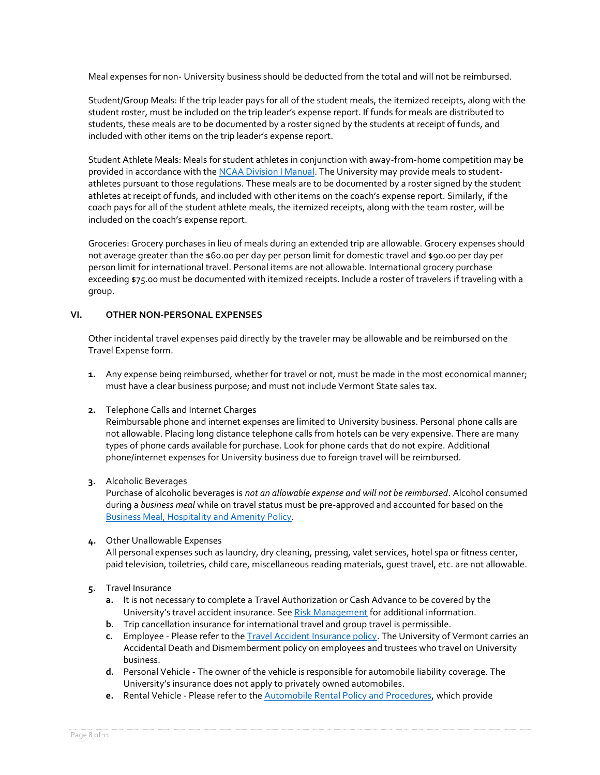Meal expenses for non- University business should be deducted from the total and will not be reimbursed.

Student/Group Meals: If the trip leader pays for all of the student meals, the itemized receipts, along with the student roster, must be included on the trip leader's expense report. If funds for meals are distributed to students, these meals are to be documented by a roster signed by the students at receipt of funds, and included with other items on the trip leader's expense report.

Student Athlete Meals: Meals for student athletes in conjunction with away-from-home competition may be provided in accordance with th[e NCAA Division I Manual.](https://www.ncaapublications.com/p-4630-2021-2022-ncaa-division-i-manual.aspx?CategoryID=0&SectionID=0&ManufacturerID=0&DistributorID=0&GenreID=0&VectorID=0&) The University may provide meals to studentathletes pursuant to those regulations. These meals are to be documented by a roster signed by the student athletes at receipt of funds, and included with other items on the coach's expense report. Similarly, if the coach pays for all of the student athlete meals, the itemized receipts, along with the team roster, will be included on the coach's expense report.

Groceries: Grocery purchases in lieu of meals during an extended trip are allowable. Grocery expenses should not average greater than the \$60.00 per day per person limit for domestic travel and \$90.00 per day per person limit for international travel. Personal items are not allowable. International grocery purchase exceeding \$75.00 must be documented with itemized receipts. Include a roster of travelers if traveling with a group.

## **VI. OTHER NON-PERSONAL EXPENSES**

Other incidental travel expenses paid directly by the traveler may be allowable and be reimbursed on the Travel Expense form.

- **1.** Any expense being reimbursed, whether for travel or not, must be made in the most economical manner; must have a clear business purpose; and must not include Vermont State sales tax.
- **2.** Telephone Calls and Internet Charges

Reimbursable phone and internet expenses are limited to University business. Personal phone calls are not allowable. Placing long distance telephone calls from hotels can be very expensive. There are many types of phone cards available for purchase. Look for phone cards that do not expire. Additional phone/internet expenses for University business due to foreign travel will be reimbursed.

**3.** Alcoholic Beverages

Purchase of alcoholic beverages is *not an allowable expense and will not be reimbursed*. Alcohol consumed during a *business meal* while on travel status must be pre-approved and accounted for based on the [Business Meal, Hospitality](https://www.uvm.edu/sites/default/files/UVM-Policies/policies/businessmeals.pdf) and Amenity Policy.

#### **4.** Other Unallowable Expenses

All personal expenses such as laundry, dry cleaning, pressing, valet services, hotel spa or fitness center, paid television, toiletries, child care, miscellaneous reading materials, guest travel, etc. are not allowable.

- **5.** Travel Insurance
	- **a.** It is not necessary to complete a Travel Authorization or Cash Advance to be covered by the University's travel accident insurance. See [Risk Management](https://www.uvm.edu/riskmanagement/general-university-insurance-protection) for additional information.
	- **b.** Trip cancellation insurance for international travel and group travel is permissible.
	- **c.** Employee Please refer to th[e Travel Accident Insurance policy.](https://www.uvm.edu/sites/default/files/UVM-Policies/policies/accins.pdf) The University of Vermont carries an Accidental Death and Dismemberment policy on employees and trustees who travel on University business.
	- **d.** Personal Vehicle The owner of the vehicle is responsible for automobile liability coverage. The University's insurance does not apply to privately owned automobiles.
	- **e.** Rental Vehicle Please refer to the [Automobile Rental Policy and Procedures,](https://www.uvm.edu/sites/default/files/UVM-Policies/policies/autorent.pdf) which provide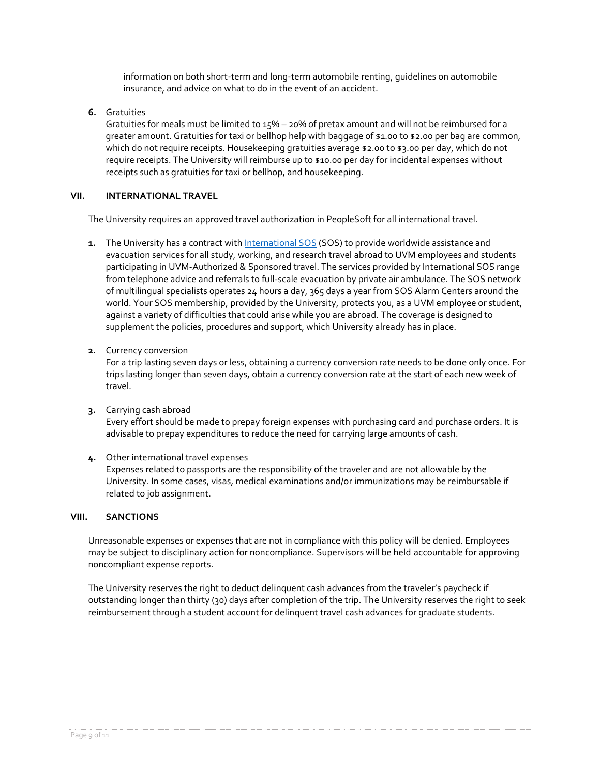information on both short-term and long-term automobile renting, guidelines on automobile insurance, and advice on what to do in the event of an accident.

**6.** Gratuities

Gratuities for meals must be limited to 15% – 20% of pretax amount and will not be reimbursed for a greater amount. Gratuities for taxi or bellhop help with baggage of \$1.00 to \$2.00 per bag are common, which do not require receipts. Housekeeping gratuities average \$2.00 to \$3.00 per day, which do not require receipts. The University will reimburse up to \$10.00 per day for incidental expenses without receipts such as gratuities for taxi or bellhop, and housekeeping.

## **VII. INTERNATIONAL TRAVEL**

The University requires an approved travel authorization in PeopleSoft for all international travel.

- **1.** The University has a contract wit[h International SOS](http://www.uvm.edu/oie/health_safety) (SOS) to provide worldwide assistance and evacuation services for all study, working, and research travel abroad to UVM employees and students participating in UVM-Authorized & Sponsored travel. The services provided by International SOS range from telephone advice and referrals to full-scale evacuation by private air ambulance. The SOS network of multilingual specialists operates 24 hours a day, 365 days a year from SOS Alarm Centers around the world. Your SOS membership, provided by the University, protects you, as a UVM employee or student, against a variety of difficulties that could arise while you are abroad. The coverage is designed to supplement the policies, procedures and support, which University already has in place.
- **2.** Currency conversion

For a trip lasting seven days or less, obtaining a currency conversion rate needs to be done only once. For trips lasting longer than seven days, obtain a currency conversion rate at the start of each new week of travel.

- **3.** Carrying cash abroad Every effort should be made to prepay foreign expenses with purchasing card and purchase orders. It is advisable to prepay expenditures to reduce the need for carrying large amounts of cash.
- **4.** Other international travel expenses

Expenses related to passports are the responsibility of the traveler and are not allowable by the University. In some cases, visas, medical examinations and/or immunizations may be reimbursable if related to job assignment.

## **VIII. SANCTIONS**

Unreasonable expenses or expenses that are not in compliance with this policy will be denied. Employees may be subject to disciplinary action for noncompliance. Supervisors will be held accountable for approving noncompliant expense reports.

The University reserves the right to deduct delinquent cash advances from the traveler's paycheck if outstanding longer than thirty (30) days after completion of the trip. The University reserves the right to seek reimbursement through a student account for delinquent travel cash advances for graduate students.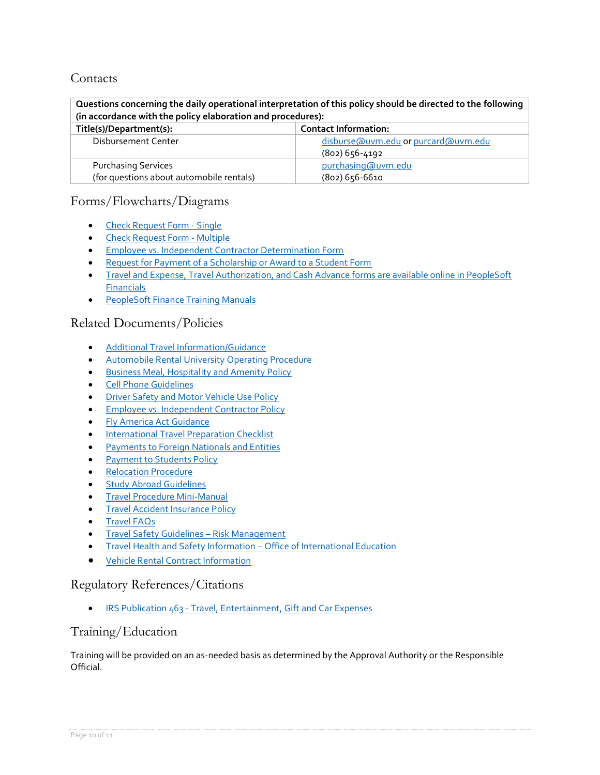# **Contacts**

**Questions concerning the daily operational interpretation of this policy should be directed to the following (in accordance with the policy elaboration and procedures):**

| Title(s)/Department(s):                  | <b>Contact Information:</b>         |  |
|------------------------------------------|-------------------------------------|--|
| Disbursement Center                      | disburse@uvm.edu or purcard@uvm.edu |  |
|                                          | (802) 656-4192                      |  |
| <b>Purchasing Services</b>               | purchasing@uvm.edu                  |  |
| (for questions about automobile rentals) | (802) 656-6610                      |  |

# Forms/Flowcharts/Diagrams

- [Check Request Form -](https://www.uvm.edu/sites/default/files/Division-of-Finance/Forms/checkrequestsingle.xlsx) Single
- [Check Request Form -](https://www.uvm.edu/sites/default/files/Division-of-Finance/Forms/checkrequestmulti.xlsx) Multiple
- [Employee vs. Independent Contractor Determination Form](https://www.uvm.edu/finance/forms/employee-vs-independent-contractor-determination-form)
- [Request for Payment of a Scholarship or Award to a Student Form](https://www.uvm.edu/studentfinancialservices/paymentstostudents)
- Travel and Expense, Travel Authorization, and Cash Advance forms are available online in PeopleSoft [Financials](https://erp.w3.uvm.edu/)
- [PeopleSoft Finance Training Manuals](https://www.uvm.edu/finance/user-guides)

# Related Documents/Policies

- [Additional Travel Information/Guidance](https://www.uvm.edu/finance/travel)
- [Automobile Rental University Operating Procedure](https://www.uvm.edu/sites/default/files/UVM-Policies/policies/autorent.pdf)
- [Business Meal, Hospitality and Amenity Policy](https://www.uvm.edu/sites/default/files/UVM-Policies/policies/businessmeals.pdf)
- [Cell Phone Guidelines](https://www.uvm.edu/finance/cellphones)
- [Driver Safety and Motor Vehicle Use Policy](https://www.uvm.edu/sites/default/files/UVM-Policies/policies/driversafety.pdf)
- [Employee vs. Independent Contractor Policy](https://www.uvm.edu/sites/default/files/UVM-Policies/policies/indcontract.pdf)
- [Fly America Act Guidance](https://www.uvm.edu/spa/fly-america-act-and-international-travel-guidance)
- [International Travel Preparation Checklist](https://www.uvm.edu/sites/default/files/Division-of-Finance/travel/Intrntl_travel_checklist.pdf)
- [Payments to Foreign Nationals and Entities](https://www.uvm.edu/sites/default/files/UVM-Policies/policies/nonresidentaliens.pdf)
- [Payment to Students Policy](https://www.uvm.edu/sites/default/files/UVM-Policies/policies/payments2stu.pdf)
- [Relocation Procedure](https://www.uvm.edu/sites/default/files/UVM-Policies/policies/relocation.pdf)
- [Study Abroad Guidelines](https://www.uvm.edu/riskmanagement/travel-safety)
- [Travel Procedure Mini-Manual](https://www.uvm.edu/finance/user-guides)
- **[Travel Accident Insurance Policy](https://www.uvm.edu/sites/default/files/UVM-Policies/policies/accins.pdf)**
- [Travel FAQs](https://www.uvm.edu/finance/travel-faqs)
- [Travel Safety Guidelines](https://www.uvm.edu/riskmanagement/travel-safety)  Risk Management
- [Travel Health and Safety Information](http://www.uvm.edu/oie/health_safety)  Office of International Education
- [Vehicle Rental Contract Information](https://www.uvm.edu/finance/purchasing-methods)

## Regulatory References/Citations

• IRS Publication 463 - [Travel, Entertainment, Gift and Car Expenses](http://www.irs.gov/publications/p463/ch01.html)

# Training/Education

Training will be provided on an as-needed basis as determined by the Approval Authority or the Responsible Official.